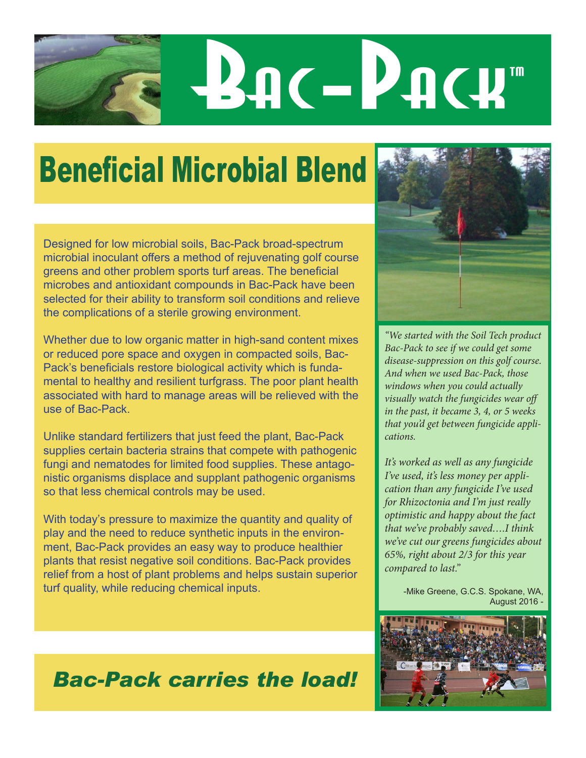# **Bac-Pack**

## Beneficial Microbial Blend

Designed for low microbial soils, Bac-Pack broad-spectrum microbial inoculant offers a method of rejuvenating golf course greens and other problem sports turf areas. The beneficial microbes and antioxidant compounds in Bac-Pack have been selected for their ability to transform soil conditions and relieve the complications of a sterile growing environment.

Whether due to low organic matter in high-sand content mixes or reduced pore space and oxygen in compacted soils, Bac-Pack's beneficials restore biological activity which is fundamental to healthy and resilient turfgrass. The poor plant health associated with hard to manage areas will be relieved with the use of Bac-Pack.

Unlike standard fertilizers that just feed the plant, Bac-Pack supplies certain bacteria strains that compete with pathogenic fungi and nematodes for limited food supplies. These antagonistic organisms displace and supplant pathogenic organisms so that less chemical controls may be used.

With today's pressure to maximize the quantity and quality of play and the need to reduce synthetic inputs in the environment, Bac-Pack provides an easy way to produce healthier plants that resist negative soil conditions. Bac-Pack provides relief from a host of plant problems and helps sustain superior turf quality, while reducing chemical inputs.



*"We started with the Soil Tech product Bac-Pack to see if we could get some disease-suppression on this golf course. And when we used Bac-Pack, those windows when you could actually visually watch the fungicides wear off in the past, it became 3, 4, or 5 weeks that you'd get between fungicide applications.* 

*It's worked as well as any fungicide I've used, it's less money per application than any fungicide I've used for Rhizoctonia and I'm just really optimistic and happy about the fact that we've probably saved….I think we've cut our greens fungicides about 65%, right about 2/3 for this year compared to last."*

> -Mike Greene, G.C.S. Spokane, WA, August 2016



### *Bac-Pack carries the load!*